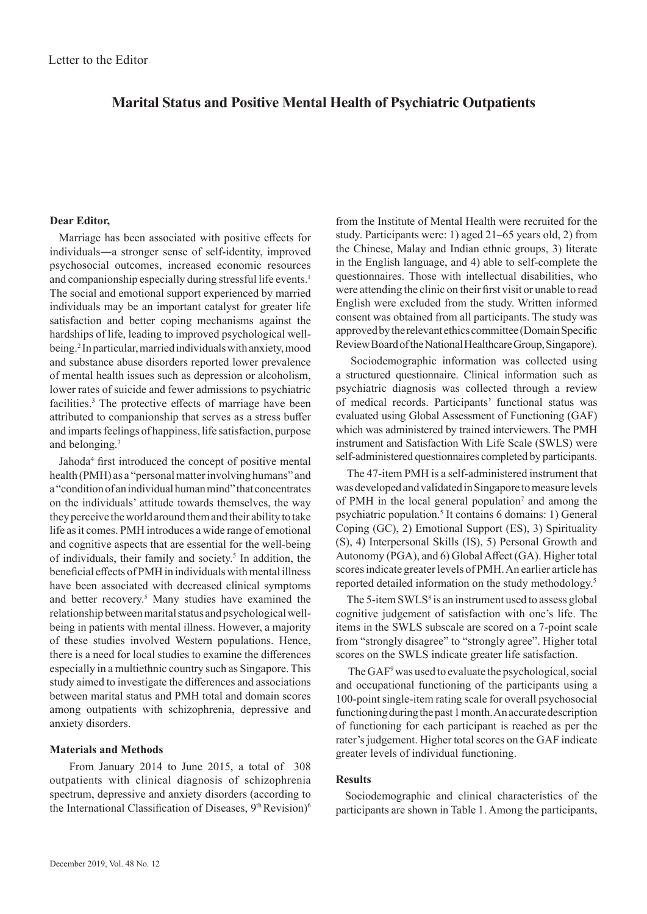# **Marital Status and Positive Mental Health of Psychiatric Outpatients**

## **Dear Editor,**

Marriage has been associated with positive effects for individuals―a stronger sense of self-identity, improved psychosocial outcomes, increased economic resources and companionship especially during stressful life events.<sup>1</sup> The social and emotional support experienced by married individuals may be an important catalyst for greater life satisfaction and better coping mechanisms against the hardships of life, leading to improved psychological wellbeing.2 In particular, married individuals with anxiety, mood and substance abuse disorders reported lower prevalence of mental health issues such as depression or alcoholism, lower rates of suicide and fewer admissions to psychiatric facilities.<sup>3</sup> The protective effects of marriage have been attributed to companionship that serves as a stress buffer and imparts feelings of happiness, life satisfaction, purpose and belonging.3

Jahoda<sup>4</sup> first introduced the concept of positive mental health (PMH) as a "personal matter involving humans" and a "condition of an individual human mind" that concentrates on the individuals' attitude towards themselves, the way they perceive the world around them and their ability to take life as it comes. PMH introduces a wide range of emotional and cognitive aspects that are essential for the well-being of individuals, their family and society.<sup>5</sup> In addition, the beneficial effects of PMH in individuals with mental illness have been associated with decreased clinical symptoms and better recovery.5 Many studies have examined the relationship between marital status and psychological wellbeing in patients with mental illness. However, a majority of these studies involved Western populations. Hence, there is a need for local studies to examine the differences especially in a multiethnic country such as Singapore. This study aimed to investigate the differences and associations between marital status and PMH total and domain scores among outpatients with schizophrenia, depressive and anxiety disorders.

#### **Materials and Methods**

 From January 2014 to June 2015, a total of 308 outpatients with clinical diagnosis of schizophrenia spectrum, depressive and anxiety disorders (according to the International Classification of Diseases,  $9<sup>th</sup>$  Revision)<sup>6</sup> from the Institute of Mental Health were recruited for the study. Participants were: 1) aged 21–65 years old, 2) from the Chinese, Malay and Indian ethnic groups, 3) literate in the English language, and 4) able to self-complete the questionnaires. Those with intellectual disabilities, who were attending the clinic on their first visit or unable to read English were excluded from the study. Written informed consent was obtained from all participants. The study was approved by the relevant ethics committee (Domain Specific Review Board of the National Healthcare Group, Singapore).

 Sociodemographic information was collected using a structured questionnaire. Clinical information such as psychiatric diagnosis was collected through a review of medical records. Participants' functional status was evaluated using Global Assessment of Functioning (GAF) which was administered by trained interviewers. The PMH instrument and Satisfaction With Life Scale (SWLS) were self-administered questionnaires completed by participants.

 The 47-item PMH is a self-administered instrument that was developed and validated in Singapore to measure levels of PMH in the local general population<sup>7</sup> and among the psychiatric population.<sup>5</sup> It contains 6 domains: 1) General Coping (GC), 2) Emotional Support (ES), 3) Spirituality (S), 4) Interpersonal Skills (IS), 5) Personal Growth and Autonomy (PGA), and 6) Global Affect (GA). Higher total scores indicate greater levels of PMH. An earlier article has reported detailed information on the study methodology.5

The 5-item  $SWLS<sup>8</sup>$  is an instrument used to assess global cognitive judgement of satisfaction with one's life. The items in the SWLS subscale are scored on a 7-point scale from "strongly disagree" to "strongly agree". Higher total scores on the SWLS indicate greater life satisfaction.

 The GAF9 was used to evaluate the psychological, social and occupational functioning of the participants using a 100-point single-item rating scale for overall psychosocial functioning during the past 1 month. An accurate description of functioning for each participant is reached as per the rater's judgement. Higher total scores on the GAF indicate greater levels of individual functioning.

#### **Results**

Sociodemographic and clinical characteristics of the participants are shown in Table 1. Among the participants,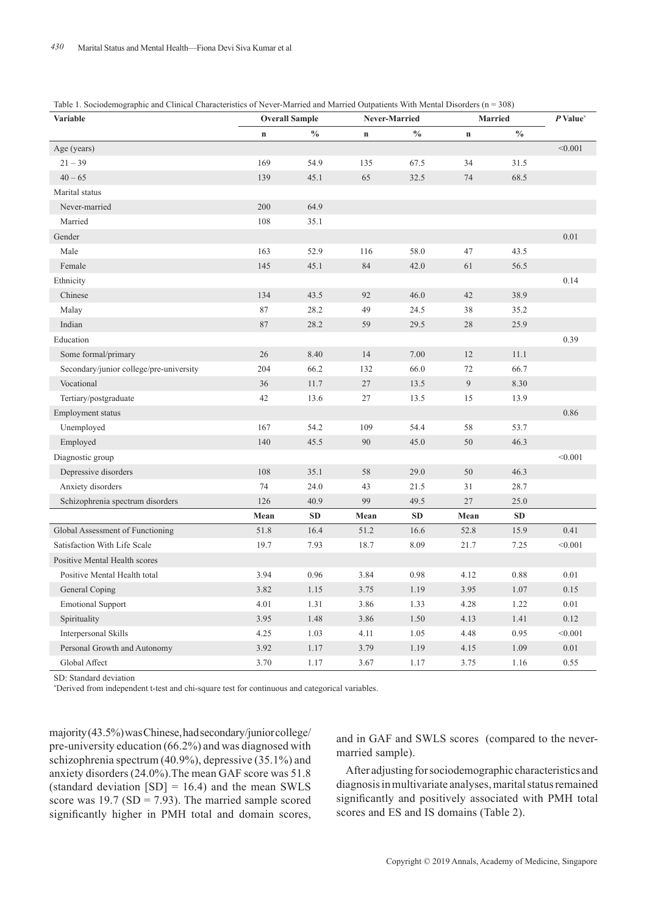| ----- <i>-</i> -----<br>Variable        |             | <b>Overall Sample</b> |      | Never-Married |      | <b>Married</b> |          |
|-----------------------------------------|-------------|-----------------------|------|---------------|------|----------------|----------|
|                                         | $\mathbf n$ | $\frac{0}{0}$         | n    | $\frac{0}{0}$ | n    | $\frac{0}{0}$  |          |
| Age (years)                             |             |                       |      |               |      |                | < 0.001  |
| $21 - 39$                               | 169         | 54.9                  | 135  | 67.5          | 34   | 31.5           |          |
| $40 - 65$                               | 139         | 45.1                  | 65   | 32.5          | 74   | 68.5           |          |
| Marital status                          |             |                       |      |               |      |                |          |
| Never-married                           | 200         | 64.9                  |      |               |      |                |          |
| Married                                 | 108         | 35.1                  |      |               |      |                |          |
| Gender                                  |             |                       |      |               |      |                | 0.01     |
| Male                                    | 163         | 52.9                  | 116  | 58.0          | 47   | 43.5           |          |
| Female                                  | 145         | 45.1                  | 84   | 42.0          | 61   | 56.5           |          |
| Ethnicity                               |             |                       |      |               |      |                | 0.14     |
| Chinese                                 | 134         | 43.5                  | 92   | 46.0          | 42   | 38.9           |          |
| Malay                                   | 87          | 28.2                  | 49   | 24.5          | 38   | 35.2           |          |
| Indian                                  | 87          | 28.2                  | 59   | 29.5          | 28   | 25.9           |          |
| Education                               |             |                       |      |               |      |                | 0.39     |
| Some formal/primary                     | 26          | 8.40                  | 14   | 7.00          | 12   | 11.1           |          |
| Secondary/junior college/pre-university | 204         | 66.2                  | 132  | 66.0          | 72   | 66.7           |          |
| Vocational                              | 36          | 11.7                  | 27   | 13.5          | 9    | 8.30           |          |
| Tertiary/postgraduate                   | 42          | 13.6                  | 27   | 13.5          | 15   | 13.9           |          |
| Employment status                       |             |                       |      |               |      |                | 0.86     |
| Unemployed                              | 167         | 54.2                  | 109  | 54.4          | 58   | 53.7           |          |
| Employed                                | 140         | 45.5                  | 90   | 45.0          | 50   | 46.3           |          |
| Diagnostic group                        |             |                       |      |               |      |                | < 0.001  |
| Depressive disorders                    | 108         | 35.1                  | 58   | 29.0          | 50   | 46.3           |          |
| Anxiety disorders                       | 74          | 24.0                  | 43   | 21.5          | 31   | 28.7           |          |
| Schizophrenia spectrum disorders        | 126         | 40.9                  | 99   | 49.5          | 27   | 25.0           |          |
|                                         | Mean        | <b>SD</b>             | Mean | <b>SD</b>     | Mean | <b>SD</b>      |          |
| Global Assessment of Functioning        | 51.8        | 16.4                  | 51.2 | 16.6          | 52.8 | 15.9           | 0.41     |
| Satisfaction With Life Scale            | 19.7        | 7.93                  | 18.7 | 8.09          | 21.7 | 7.25           | < 0.001  |
| Positive Mental Health scores           |             |                       |      |               |      |                |          |
| Positive Mental Health total            | 3.94        | 0.96                  | 3.84 | 0.98          | 4.12 | 0.88           | 0.01     |
| General Coping                          | 3.82        | 1.15                  | 3.75 | 1.19          | 3.95 | 1.07           | 0.15     |
| <b>Emotional Support</b>                | 4.01        | 1.31                  | 3.86 | 1.33          | 4.28 | 1.22           | 0.01     |
| Spirituality                            | 3.95        | 1.48                  | 3.86 | $1.50\,$      | 4.13 | 1.41           | 0.12     |
| Interpersonal Skills                    | 4.25        | 1.03                  | 4.11 | 1.05          | 4.48 | 0.95           | < 0.001  |
| Personal Growth and Autonomy            | 3.92        | 1.17                  | 3.79 | 1.19          | 4.15 | 1.09           | $0.01\,$ |
| Global Affect                           | 3.70        | 1.17                  | 3.67 | 1.17          | 3.75 | 1.16           | 0.55     |

| Table 1. Sociodemographic and Clinical Characteristics of Never-Married and Married Outpatients With Mental Disorders (n = 308) |  |  |
|---------------------------------------------------------------------------------------------------------------------------------|--|--|
|                                                                                                                                 |  |  |

SD: Standard deviation

\* Derived from independent t-test and chi-square test for continuous and categorical variables.

majority (43.5%) was Chinese, had secondary/junior college/ pre-university education (66.2%) and was diagnosed with schizophrenia spectrum (40.9%), depressive (35.1%) and anxiety disorders (24.0%).The mean GAF score was 51.8 (standard deviation  $[SD] = 16.4$ ) and the mean SWLS score was  $19.7$  (SD = 7.93). The married sample scored significantly higher in PMH total and domain scores,

and in GAF and SWLS scores (compared to the nevermarried sample).

After adjusting for sociodemographic characteristics and diagnosis in multivariate analyses, marital status remained significantly and positively associated with PMH total scores and ES and IS domains (Table 2).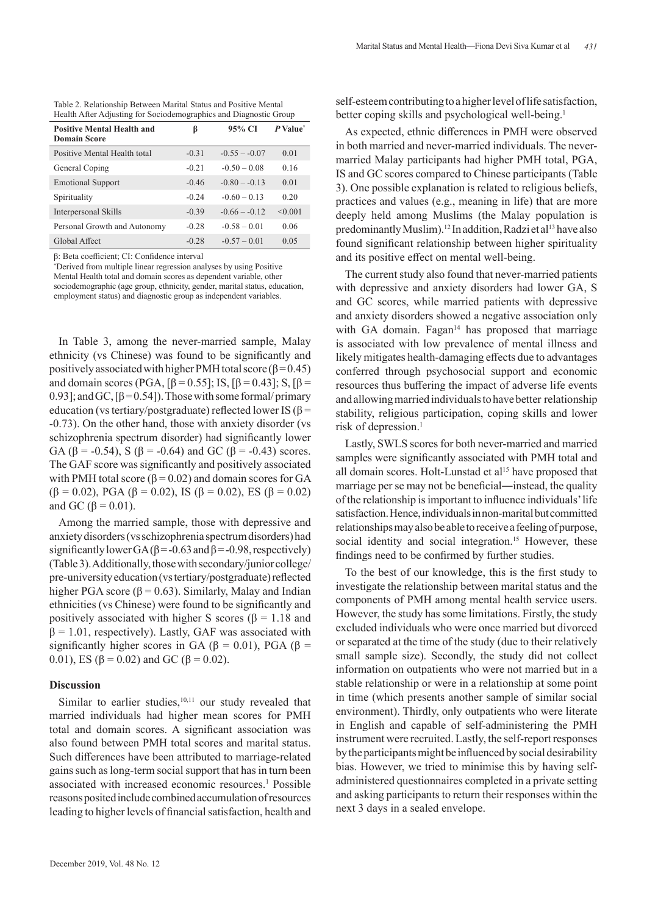| Marital Status and Mental Health—Fiona Devi Siva Kumar et al | 431 |
|--------------------------------------------------------------|-----|

| Table 2. Relationship Between Marital Status and Positive Mental  |  |  |
|-------------------------------------------------------------------|--|--|
| Health After Adjusting for Sociodemographics and Diagnostic Group |  |  |

| <b>Positive Mental Health and</b><br><b>Domain Score</b> | β       | 95% CI          | P Value <sup>*</sup> |
|----------------------------------------------------------|---------|-----------------|----------------------|
| Positive Mental Health total                             | $-0.31$ | $-0.55 - -0.07$ | 0.01                 |
| General Coping                                           | $-0.21$ | $-0.50 - 0.08$  | 0.16                 |
| <b>Emotional Support</b>                                 | $-0.46$ | $-0.80 - -0.13$ | 0.01                 |
| Spirituality                                             | $-0.24$ | $-0.60 - 0.13$  | 0.20                 |
| Interpersonal Skills                                     | $-0.39$ | $-0.66 - -0.12$ | < 0.001              |
| Personal Growth and Autonomy                             | $-0.28$ | $-0.58 - 0.01$  | 0.06                 |
| Global Affect                                            | $-0.28$ | $-0.57 - 0.01$  | 0.05                 |

β: Beta coefficient; CI: Confidence interval

\* Derived from multiple linear regression analyses by using Positive Mental Health total and domain scores as dependent variable, other sociodemographic (age group, ethnicity, gender, marital status, education, employment status) and diagnostic group as independent variables.

In Table 3, among the never-married sample, Malay ethnicity (vs Chinese) was found to be significantly and positively associated with higher PMH total score ( $\beta$ =0.45) and domain scores (PGA,  $\beta$  = 0.55]; IS,  $\beta$  = 0.43]; S,  $\beta$  = 0.93]; and GC,  $[\beta = 0.54]$ . Those with some formal/ primary education (vs tertiary/postgraduate) reflected lower IS ( $\beta$  = -0.73). On the other hand, those with anxiety disorder (vs schizophrenia spectrum disorder) had significantly lower GA ( $\beta$  = -0.54), S ( $\beta$  = -0.64) and GC ( $\beta$  = -0.43) scores. The GAF score was significantly and positively associated with PMH total score ( $\beta$  = 0.02) and domain scores for GA ( $\beta$  = 0.02), PGA ( $\beta$  = 0.02), IS ( $\beta$  = 0.02), ES ( $\beta$  = 0.02) and GC ( $\beta$  = 0.01).

Among the married sample, those with depressive and anxiety disorders (vs schizophrenia spectrum disorders) had significantly lower GA( $\beta$  = -0.63 and  $\beta$  = -0.98, respectively) (Table 3). Additionally, those with secondary/junior college/ pre-university education (vs tertiary/postgraduate) reflected higher PGA score ( $\beta$  = 0.63). Similarly, Malay and Indian ethnicities (vs Chinese) were found to be significantly and positively associated with higher S scores ( $\beta$  = 1.18 and  $\beta$  = 1.01, respectively). Lastly, GAF was associated with significantly higher scores in GA ( $\beta$  = 0.01), PGA ( $\beta$  = 0.01), ES ( $\beta$  = 0.02) and GC ( $\beta$  = 0.02).

## **Discussion**

Similar to earlier studies, $10,11$  our study revealed that married individuals had higher mean scores for PMH total and domain scores. A significant association was also found between PMH total scores and marital status. Such differences have been attributed to marriage-related gains such as long-term social support that has in turn been associated with increased economic resources.1 Possible reasons posited include combined accumulation of resources leading to higher levels of financial satisfaction, health and

As expected, ethnic differences in PMH were observed in both married and never-married individuals. The nevermarried Malay participants had higher PMH total, PGA, IS and GC scores compared to Chinese participants (Table 3). One possible explanation is related to religious beliefs, practices and values (e.g., meaning in life) that are more deeply held among Muslims (the Malay population is predominantly Muslim).<sup>12</sup> In addition, Radzi et al<sup>13</sup> have also found significant relationship between higher spirituality and its positive effect on mental well-being.

self-esteem contributing to a higher level of life satisfaction,

The current study also found that never-married patients with depressive and anxiety disorders had lower GA, S and GC scores, while married patients with depressive and anxiety disorders showed a negative association only with GA domain. Fagan<sup>14</sup> has proposed that marriage is associated with low prevalence of mental illness and likely mitigates health-damaging effects due to advantages conferred through psychosocial support and economic resources thus buffering the impact of adverse life events and allowing married individuals to have better relationship stability, religious participation, coping skills and lower risk of depression.<sup>1</sup>

Lastly, SWLS scores for both never-married and married samples were significantly associated with PMH total and all domain scores. Holt-Lunstad et  $al<sup>15</sup>$  have proposed that marriage per se may not be beneficial—instead, the quality of the relationship is important to influence individuals' life satisfaction. Hence, individuals in non-marital but committed relationships may also be able to receive a feeling of purpose, social identity and social integration.<sup>15</sup> However, these findings need to be confirmed by further studies.

To the best of our knowledge, this is the first study to investigate the relationship between marital status and the components of PMH among mental health service users. However, the study has some limitations. Firstly, the study excluded individuals who were once married but divorced or separated at the time of the study (due to their relatively small sample size). Secondly, the study did not collect information on outpatients who were not married but in a stable relationship or were in a relationship at some point in time (which presents another sample of similar social environment). Thirdly, only outpatients who were literate in English and capable of self-administering the PMH instrument were recruited. Lastly, the self-report responses by the participants might be influenced by social desirability bias. However, we tried to minimise this by having selfadministered questionnaires completed in a private setting and asking participants to return their responses within the next 3 days in a sealed envelope.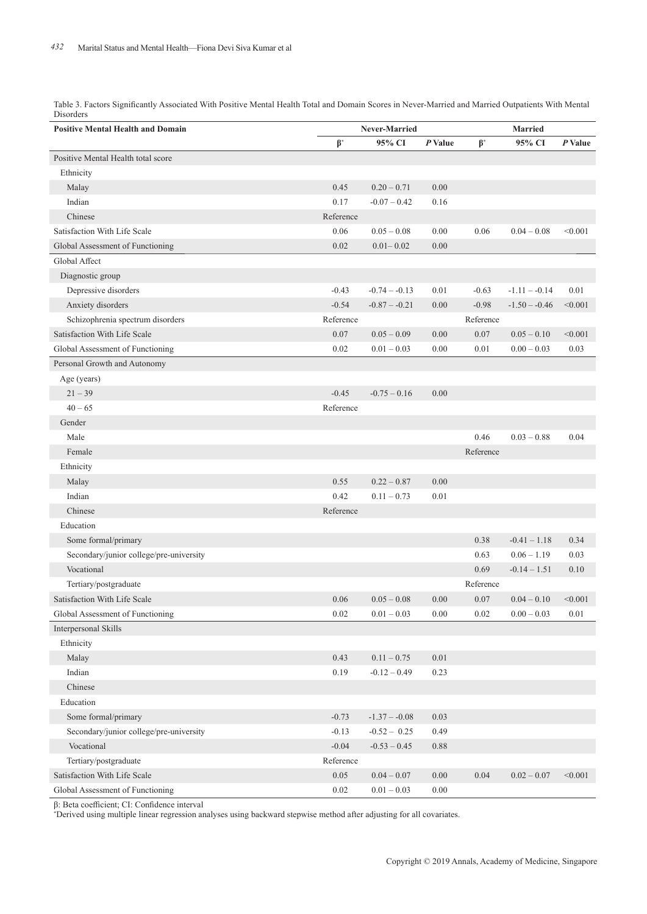Table 3. Factors Significantly Associated With Positive Mental Health Total and Domain Scores in Never-Married and Married Outpatients With Mental Disorders

| <b>Positive Mental Health and Domain</b> | Never-Married |                 |          | <b>Married</b> |                 |         |
|------------------------------------------|---------------|-----------------|----------|----------------|-----------------|---------|
|                                          | $\beta^*$     | 95% CI          | P Value  | $\beta^*$      | 95% CI          | P Value |
| Positive Mental Health total score       |               |                 |          |                |                 |         |
| Ethnicity                                |               |                 |          |                |                 |         |
| Malay                                    | 0.45          | $0.20 - 0.71$   | 0.00     |                |                 |         |
| Indian                                   | 0.17          | $-0.07 - 0.42$  | 0.16     |                |                 |         |
| Chinese                                  | Reference     |                 |          |                |                 |         |
| Satisfaction With Life Scale             | 0.06          | $0.05 - 0.08$   | 0.00     | 0.06           | $0.04 - 0.08$   | < 0.001 |
| Global Assessment of Functioning         | 0.02          | $0.01 - 0.02$   | 0.00     |                |                 |         |
| Global Affect                            |               |                 |          |                |                 |         |
| Diagnostic group                         |               |                 |          |                |                 |         |
| Depressive disorders                     | $-0.43$       | $-0.74 - 0.13$  | 0.01     | $-0.63$        | $-1.11 - -0.14$ | 0.01    |
| Anxiety disorders                        | $-0.54$       | $-0.87 - -0.21$ | 0.00     | $-0.98$        | $-1.50 - -0.46$ | < 0.001 |
| Schizophrenia spectrum disorders         | Reference     |                 |          | Reference      |                 |         |
| Satisfaction With Life Scale             | 0.07          | $0.05 - 0.09$   | 0.00     | 0.07           | $0.05 - 0.10$   | < 0.001 |
| Global Assessment of Functioning         | 0.02          | $0.01 - 0.03$   | 0.00     | 0.01           | $0.00 - 0.03$   | 0.03    |
| Personal Growth and Autonomy             |               |                 |          |                |                 |         |
| Age (years)                              |               |                 |          |                |                 |         |
| $21 - 39$                                | $-0.45$       | $-0.75 - 0.16$  | 0.00     |                |                 |         |
| $40 - 65$                                | Reference     |                 |          |                |                 |         |
| Gender                                   |               |                 |          |                |                 |         |
| Male                                     |               |                 |          | 0.46           | $0.03 - 0.88$   | 0.04    |
| Female                                   |               |                 |          | Reference      |                 |         |
| Ethnicity                                |               |                 |          |                |                 |         |
| Malay                                    | 0.55          | $0.22 - 0.87$   | 0.00     |                |                 |         |
| Indian                                   | 0.42          | $0.11 - 0.73$   | 0.01     |                |                 |         |
| Chinese                                  | Reference     |                 |          |                |                 |         |
| Education                                |               |                 |          |                |                 |         |
| Some formal/primary                      |               |                 |          | 0.38           | $-0.41 - 1.18$  | 0.34    |
| Secondary/junior college/pre-university  |               |                 |          | 0.63           | $0.06 - 1.19$   | 0.03    |
| Vocational                               |               |                 |          | 0.69           | $-0.14 - 1.51$  | 0.10    |
| Tertiary/postgraduate                    |               |                 |          | Reference      |                 |         |
| Satisfaction With Life Scale             | 0.06          | $0.05 - 0.08$   | 0.00     | 0.07           | $0.04 - 0.10$   | < 0.001 |
| Global Assessment of Functioning         | 0.02          | $0.01 - 0.03$   | 0.00     | $0.02\,$       | $0.00 - 0.03$   | 0.01    |
| Interpersonal Skills                     |               |                 |          |                |                 |         |
| Ethnicity                                |               |                 |          |                |                 |         |
| Malay                                    | 0.43          | $0.11 - 0.75$   | $0.01\,$ |                |                 |         |
| Indian                                   | 0.19          | $-0.12 - 0.49$  | 0.23     |                |                 |         |
| Chinese                                  |               |                 |          |                |                 |         |
| Education                                |               |                 |          |                |                 |         |
| Some formal/primary                      | $-0.73$       | $-1.37 - -0.08$ | 0.03     |                |                 |         |
| Secondary/junior college/pre-university  | $-0.13$       | $-0.52 - 0.25$  | 0.49     |                |                 |         |
| Vocational                               | $-0.04$       | $-0.53 - 0.45$  | $0.88\,$ |                |                 |         |
| Tertiary/postgraduate                    | Reference     |                 |          |                |                 |         |
| Satisfaction With Life Scale             | 0.05          | $0.04 - 0.07$   | $0.00\,$ | $0.04\,$       | $0.02 - 0.07$   | < 0.001 |
| Global Assessment of Functioning         | $0.02\,$      | $0.01 - 0.03$   | $0.00\,$ |                |                 |         |

β: Beta coefficient; CI: Confidence interval<br>\*Derived using multiple linear regression analyses using backward stepwise method after adjusting for all covariates.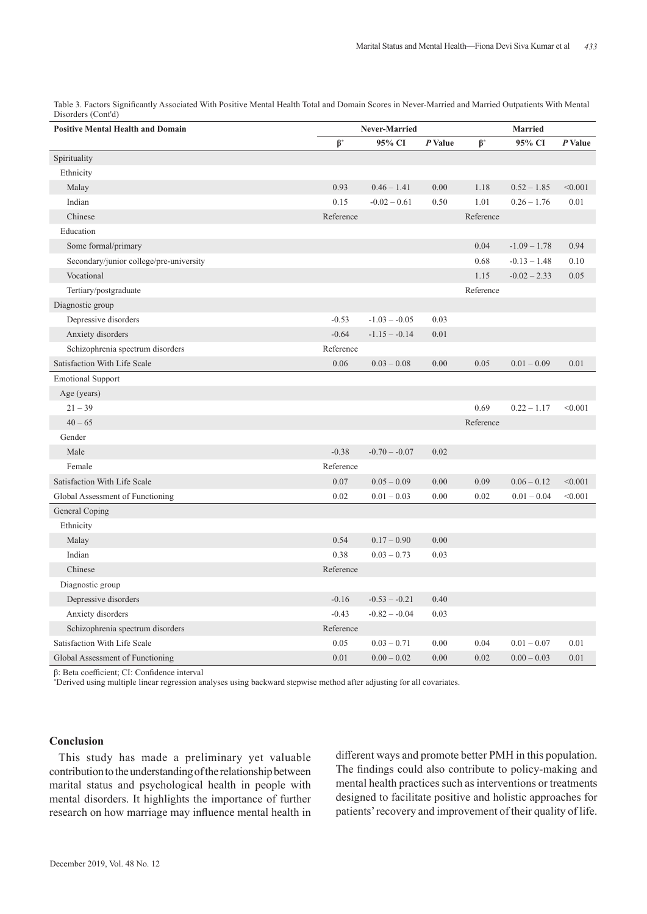Table 3. Factors Significantly Associated With Positive Mental Health Total and Domain Scores in Never-Married and Married Outpatients With Mental Disorders (Cont'd)

| <b>Positive Mental Health and Domain</b> | Never-Married |                 |         | <b>Married</b> |                |         |
|------------------------------------------|---------------|-----------------|---------|----------------|----------------|---------|
|                                          | $\beta^*$     | 95% CI          | P Value | $\beta^*$      | 95% CI         | P Value |
| Spirituality                             |               |                 |         |                |                |         |
| Ethnicity                                |               |                 |         |                |                |         |
| Malay                                    | 0.93          | $0.46 - 1.41$   | 0.00    | 1.18           | $0.52 - 1.85$  | < 0.001 |
| Indian                                   | 0.15          | $-0.02 - 0.61$  | 0.50    | 1.01           | $0.26 - 1.76$  | 0.01    |
| Chinese                                  | Reference     |                 |         | Reference      |                |         |
| Education                                |               |                 |         |                |                |         |
| Some formal/primary                      |               |                 |         | 0.04           | $-1.09 - 1.78$ | 0.94    |
| Secondary/junior college/pre-university  |               |                 |         | 0.68           | $-0.13 - 1.48$ | 0.10    |
| Vocational                               |               |                 |         | 1.15           | $-0.02 - 2.33$ | 0.05    |
| Tertiary/postgraduate                    |               |                 |         | Reference      |                |         |
| Diagnostic group                         |               |                 |         |                |                |         |
| Depressive disorders                     | $-0.53$       | $-1.03 - -0.05$ | 0.03    |                |                |         |
| Anxiety disorders                        | $-0.64$       | $-1.15 - -0.14$ | 0.01    |                |                |         |
| Schizophrenia spectrum disorders         | Reference     |                 |         |                |                |         |
| Satisfaction With Life Scale             | 0.06          | $0.03 - 0.08$   | 0.00    | 0.05           | $0.01 - 0.09$  | 0.01    |
| <b>Emotional Support</b>                 |               |                 |         |                |                |         |
| Age (years)                              |               |                 |         |                |                |         |
| $21 - 39$                                |               |                 |         | 0.69           | $0.22 - 1.17$  | < 0.001 |
| $40 - 65$                                |               |                 |         | Reference      |                |         |
| Gender                                   |               |                 |         |                |                |         |
| Male                                     | $-0.38$       | $-0.70 - -0.07$ | 0.02    |                |                |         |
| Female                                   | Reference     |                 |         |                |                |         |
| Satisfaction With Life Scale             | 0.07          | $0.05 - 0.09$   | 0.00    | 0.09           | $0.06 - 0.12$  | < 0.001 |
| Global Assessment of Functioning         | 0.02          | $0.01 - 0.03$   | 0.00    | 0.02           | $0.01 - 0.04$  | < 0.001 |
| General Coping                           |               |                 |         |                |                |         |
| Ethnicity                                |               |                 |         |                |                |         |
| Malay                                    | 0.54          | $0.17 - 0.90$   | 0.00    |                |                |         |
| Indian                                   | 0.38          | $0.03 - 0.73$   | 0.03    |                |                |         |
| Chinese                                  | Reference     |                 |         |                |                |         |
| Diagnostic group                         |               |                 |         |                |                |         |
| Depressive disorders                     | $-0.16$       | $-0.53 - 0.21$  | 0.40    |                |                |         |
| Anxiety disorders                        | $-0.43$       | $-0.82 - -0.04$ | 0.03    |                |                |         |
| Schizophrenia spectrum disorders         | Reference     |                 |         |                |                |         |
| Satisfaction With Life Scale             | 0.05          | $0.03 - 0.71$   | 0.00    | 0.04           | $0.01 - 0.07$  | 0.01    |
| Global Assessment of Functioning         | 0.01          | $0.00 - 0.02$   | 0.00    | 0.02           | $0.00 - 0.03$  | 0.01    |

β: Beta coefficient; CI: Confidence interval

\* Derived using multiple linear regression analyses using backward stepwise method after adjusting for all covariates.

## **Conclusion**

This study has made a preliminary yet valuable contribution to the understanding of the relationship between marital status and psychological health in people with mental disorders. It highlights the importance of further research on how marriage may influence mental health in

different ways and promote better PMH in this population. The findings could also contribute to policy-making and mental health practices such as interventions or treatments designed to facilitate positive and holistic approaches for patients' recovery and improvement of their quality of life.